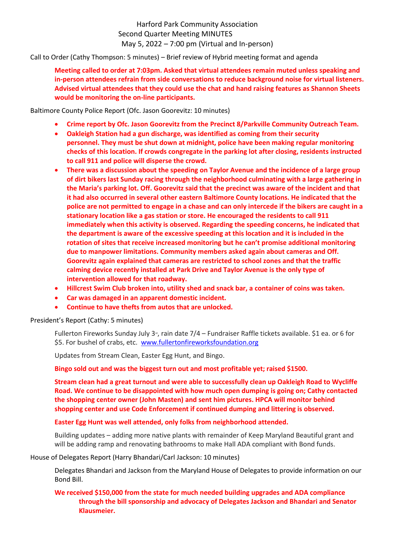Harford Park Community Association Second Quarter Meeting MINUTES May 5, 2022 – 7:00 pm (Virtual and In-person)

Call to Order (Cathy Thompson: 5 minutes) – Brief review of Hybrid meeting format and agenda

**Meeting called to order at 7:03pm. Asked that virtual attendees remain muted unless speaking and in-person attendees refrain from side conversations to reduce background noise for virtual listeners. Advised virtual attendees that they could use the chat and hand raising features as Shannon Sheets would be monitoring the on-line participants.** 

Baltimore County Police Report (Ofc. Jason Goorevitz: 10 minutes)

- **Crime report by Ofc. Jason Goorevitz from the Precinct 8/Parkville Community Outreach Team.**
- **Oakleigh Station had a gun discharge, was identified as coming from their security personnel. They must be shut down at midnight, police have been making regular monitoring checks of this location. If crowds congregate in the parking lot after closing, residents instructed to call 911 and police will disperse the crowd.**
- **There was a discussion about the speeding on Taylor Avenue and the incidence of a large group of dirt bikers last Sunday racing through the neighborhood culminating with a large gathering in the Maria's parking lot. Off. Goorevitz said that the precinct was aware of the incident and that it had also occurred in several other eastern Baltimore County locations. He indicated that the police are not permitted to engage in a chase and can only intercede if the bikers are caught in a stationary location like a gas station or store. He encouraged the residents to call 911 immediately when this activity is observed. Regarding the speeding concerns, he indicated that the department is aware of the excessive speeding at this location and it is included in the rotation of sites that receive increased monitoring but he can't promise additional monitoring due to manpower limitations. Community members asked again about cameras and Off. Goorevitz again explained that cameras are restricted to school zones and that the traffic calming device recently installed at Park Drive and Taylor Avenue is the only type of intervention allowed for that roadway.**
- **Hillcrest Swim Club broken into, utility shed and snack bar, a container of coins was taken.**
- **Car was damaged in an apparent domestic incident.**
- **Continue to have thefts from autos that are unlocked.**

President's Report (Cathy: 5 minutes)

Fullerton Fireworks Sunday July 3<sup>rd</sup>, rain date 7/4 – Fundraiser Raffle tickets available. \$1 ea. or 6 for \$5. For bushel of crabs, etc. [www.fullertonfireworksfoundation.org](http://www.fullertonfireworksfoundation.org/)

Updates from Stream Clean, Easter Egg Hunt, and Bingo.

**Bingo sold out and was the biggest turn out and most profitable yet; raised \$1500.**

**Stream clean had a great turnout and were able to successfully clean up Oakleigh Road to Wycliffe Road. We continue to be disappointed with how much open dumping is going on; Cathy contacted the shopping center owner (John Masten) and sent him pictures. HPCA will monitor behind shopping center and use Code Enforcement if continued dumping and littering is observed.**

**Easter Egg Hunt was well attended, only folks from neighborhood attended.**

Building updates – adding more native plants with remainder of Keep Maryland Beautiful grant and will be adding ramp and renovating bathrooms to make Hall ADA compliant with Bond funds.

House of Delegates Report (Harry Bhandari/Carl Jackson: 10 minutes)

Delegates Bhandari and Jackson from the Maryland House of Delegates to provide information on our Bond Bill.

**We received \$150,000 from the state for much needed building upgrades and ADA compliance through the bill sponsorship and advocacy of Delegates Jackson and Bhandari and Senator Klausmeier.**